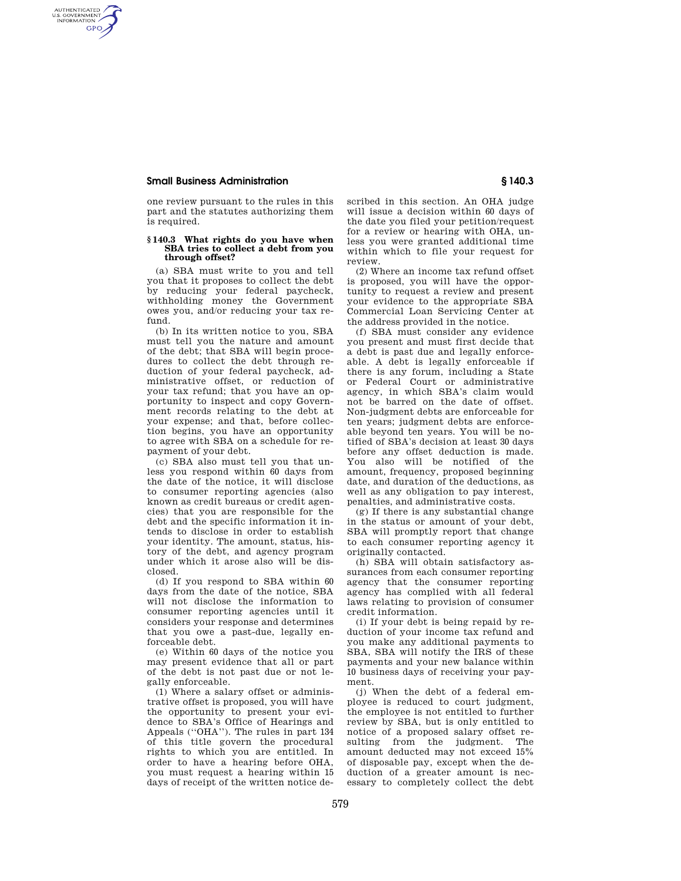## **Small Business Administration § 140.3**

AUTHENTICATED<br>U.S. GOVERNMENT<br>INFORMATION **GPO** 

> one review pursuant to the rules in this part and the statutes authorizing them is required.

## **§ 140.3 What rights do you have when SBA tries to collect a debt from you through offset?**

(a) SBA must write to you and tell you that it proposes to collect the debt by reducing your federal paycheck, withholding money the Government owes you, and/or reducing your tax refund.

(b) In its written notice to you, SBA must tell you the nature and amount of the debt; that SBA will begin procedures to collect the debt through reduction of your federal paycheck, administrative offset, or reduction of your tax refund; that you have an opportunity to inspect and copy Government records relating to the debt at your expense; and that, before collection begins, you have an opportunity to agree with SBA on a schedule for repayment of your debt.

(c) SBA also must tell you that unless you respond within 60 days from the date of the notice, it will disclose to consumer reporting agencies (also known as credit bureaus or credit agencies) that you are responsible for the debt and the specific information it intends to disclose in order to establish your identity. The amount, status, history of the debt, and agency program under which it arose also will be disclosed.

(d) If you respond to SBA within 60 days from the date of the notice, SBA will not disclose the information to consumer reporting agencies until it considers your response and determines that you owe a past-due, legally enforceable debt.

(e) Within 60 days of the notice you may present evidence that all or part of the debt is not past due or not legally enforceable.

(1) Where a salary offset or administrative offset is proposed, you will have the opportunity to present your evidence to SBA's Office of Hearings and Appeals (''OHA''). The rules in part 134 of this title govern the procedural rights to which you are entitled. In order to have a hearing before OHA, you must request a hearing within 15 days of receipt of the written notice described in this section. An OHA judge will issue a decision within 60 days of the date you filed your petition/request for a review or hearing with OHA, unless you were granted additional time within which to file your request for review.

(2) Where an income tax refund offset is proposed, you will have the opportunity to request a review and present your evidence to the appropriate SBA Commercial Loan Servicing Center at the address provided in the notice.

(f) SBA must consider any evidence you present and must first decide that a debt is past due and legally enforceable. A debt is legally enforceable if there is any forum, including a State or Federal Court or administrative agency, in which SBA's claim would not be barred on the date of offset. Non-judgment debts are enforceable for ten years; judgment debts are enforceable beyond ten years. You will be notified of SBA's decision at least 30 days before any offset deduction is made. You also will be notified of the amount, frequency, proposed beginning date, and duration of the deductions, as well as any obligation to pay interest, penalties, and administrative costs.

(g) If there is any substantial change in the status or amount of your debt, SBA will promptly report that change to each consumer reporting agency it originally contacted.

(h) SBA will obtain satisfactory assurances from each consumer reporting agency that the consumer reporting agency has complied with all federal laws relating to provision of consumer credit information.

(i) If your debt is being repaid by reduction of your income tax refund and you make any additional payments to SBA, SBA will notify the IRS of these payments and your new balance within 10 business days of receiving your payment.

(j) When the debt of a federal employee is reduced to court judgment, the employee is not entitled to further review by SBA, but is only entitled to notice of a proposed salary offset resulting from the judgment. The amount deducted may not exceed 15% of disposable pay, except when the deduction of a greater amount is necessary to completely collect the debt